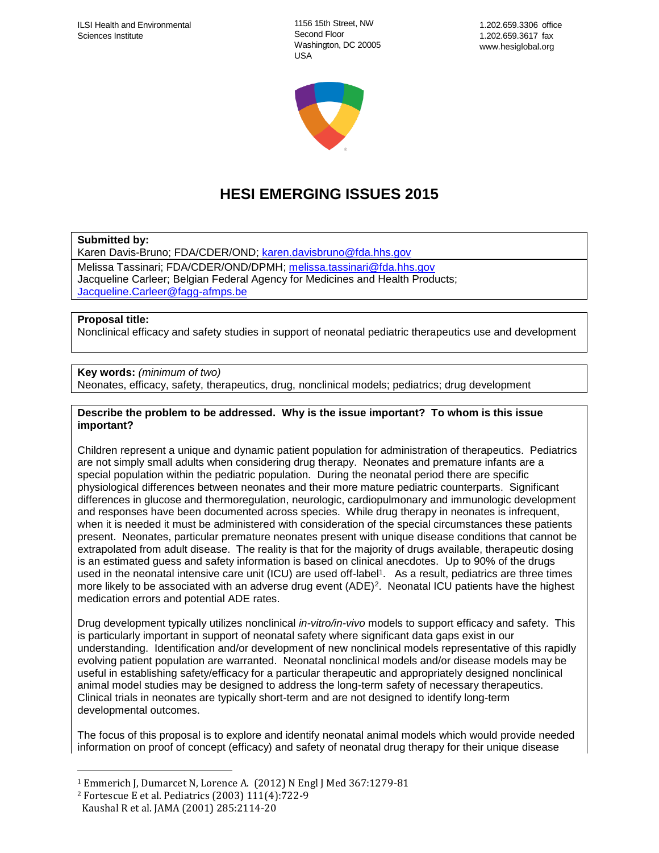1156 15th Street, NW Second Floor Washington, DC 20005 USA



# **HESI EMERGING ISSUES 2015**

## **Submitted by:**

Karen Davis-Bruno; FDA/CDER/OND; [karen.davisbruno@fda.hhs.gov](mailto:karen.davisbruno@fda.hhs.gov) Melissa Tassinari; FDA/CDER/OND/DPMH; [melissa.tassinari@fda.hhs.gov](mailto:melissa.tassinari@fda.hhs.gov) Jacqueline Carleer; Belgian Federal Agency for Medicines and Health Products; [Jacqueline.Carleer@fagg-afmps.be](mailto:Jacqueline.Carleer@fagg-afmps.be)

#### **Proposal title:**

Nonclinical efficacy and safety studies in support of neonatal pediatric therapeutics use and development

## **Key words:** *(minimum of two)*

Neonates, efficacy, safety, therapeutics, drug, nonclinical models; pediatrics; drug development

#### **Describe the problem to be addressed. Why is the issue important? To whom is this issue important?**

Children represent a unique and dynamic patient population for administration of therapeutics. Pediatrics are not simply small adults when considering drug therapy. Neonates and premature infants are a special population within the pediatric population. During the neonatal period there are specific physiological differences between neonates and their more mature pediatric counterparts. Significant differences in glucose and thermoregulation, neurologic, cardiopulmonary and immunologic development and responses have been documented across species. While drug therapy in neonates is infrequent, when it is needed it must be administered with consideration of the special circumstances these patients present. Neonates, particular premature neonates present with unique disease conditions that cannot be extrapolated from adult disease. The reality is that for the majority of drugs available, therapeutic dosing is an estimated guess and safety information is based on clinical anecdotes. Up to 90% of the drugs used in the neonatal intensive care unit (ICU) are used off-label<sup>1</sup>. As a result, pediatrics are three times more likely to be associated with an adverse drug event (ADE)<sup>2</sup>. Neonatal ICU patients have the highest medication errors and potential ADE rates.

Drug development typically utilizes nonclinical *in-vitro/in-vivo* models to support efficacy and safety. This is particularly important in support of neonatal safety where significant data gaps exist in our understanding. Identification and/or development of new nonclinical models representative of this rapidly evolving patient population are warranted. Neonatal nonclinical models and/or disease models may be useful in establishing safety/efficacy for a particular therapeutic and appropriately designed nonclinical animal model studies may be designed to address the long-term safety of necessary therapeutics. Clinical trials in neonates are typically short-term and are not designed to identify long-term developmental outcomes.

The focus of this proposal is to explore and identify neonatal animal models which would provide needed information on proof of concept (efficacy) and safety of neonatal drug therapy for their unique disease

 $\overline{a}$ 

<sup>&</sup>lt;sup>1</sup> Emmerich J, Dumarcet N, Lorence A. (2012) N Engl J Med 367:1279-81

<sup>2</sup> Fortescue E et al. Pediatrics (2003) 111(4):722-9

Kaushal R et al. JAMA (2001) 285:2114-20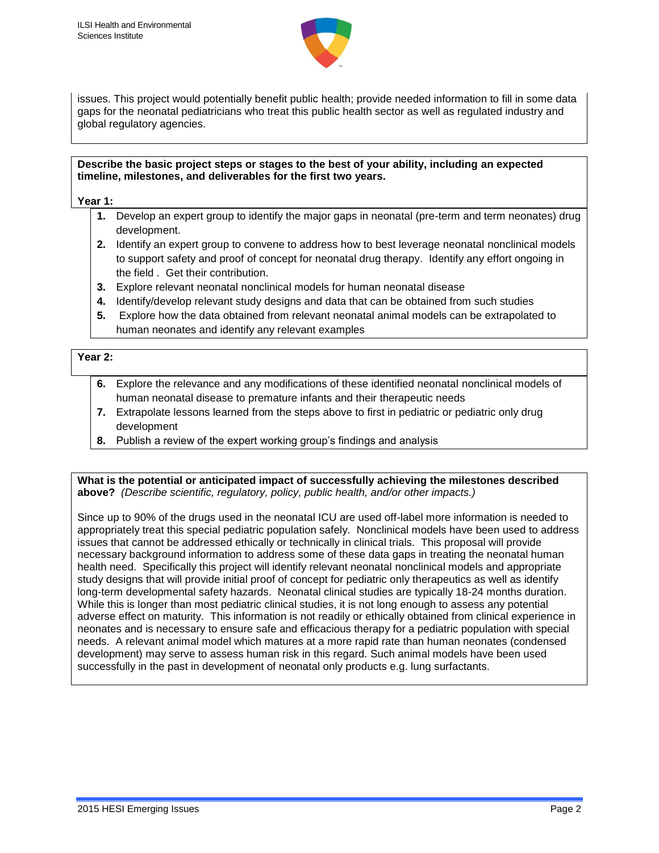

issues. This project would potentially benefit public health; provide needed information to fill in some data gaps for the neonatal pediatricians who treat this public health sector as well as regulated industry and global regulatory agencies.

#### **Describe the basic project steps or stages to the best of your ability, including an expected timeline, milestones, and deliverables for the first two years.**

**Year 1:**

- **1.** Develop an expert group to identify the major gaps in neonatal (pre-term and term neonates) drug development.
- **2.** Identify an expert group to convene to address how to best leverage neonatal nonclinical models to support safety and proof of concept for neonatal drug therapy. Identify any effort ongoing in the field . Get their contribution.
- **3.** Explore relevant neonatal nonclinical models for human neonatal disease
- **4.** Identify/develop relevant study designs and data that can be obtained from such studies
- **5.** Explore how the data obtained from relevant neonatal animal models can be extrapolated to human neonates and identify any relevant examples

## **Year 2:**

- **6.** Explore the relevance and any modifications of these identified neonatal nonclinical models of human neonatal disease to premature infants and their therapeutic needs
- **7.** Extrapolate lessons learned from the steps above to first in pediatric or pediatric only drug development
- **8.** Publish a review of the expert working group's findings and analysis

**What is the potential or anticipated impact of successfully achieving the milestones described above?** *(Describe scientific, regulatory, policy, public health, and/or other impacts.)*

Since up to 90% of the drugs used in the neonatal ICU are used off-label more information is needed to appropriately treat this special pediatric population safely. Nonclinical models have been used to address issues that cannot be addressed ethically or technically in clinical trials. This proposal will provide necessary background information to address some of these data gaps in treating the neonatal human health need. Specifically this project will identify relevant neonatal nonclinical models and appropriate study designs that will provide initial proof of concept for pediatric only therapeutics as well as identify long-term developmental safety hazards. Neonatal clinical studies are typically 18-24 months duration. While this is longer than most pediatric clinical studies, it is not long enough to assess any potential adverse effect on maturity. This information is not readily or ethically obtained from clinical experience in neonates and is necessary to ensure safe and efficacious therapy for a pediatric population with special needs. A relevant animal model which matures at a more rapid rate than human neonates (condensed development) may serve to assess human risk in this regard. Such animal models have been used successfully in the past in development of neonatal only products e.g. lung surfactants.